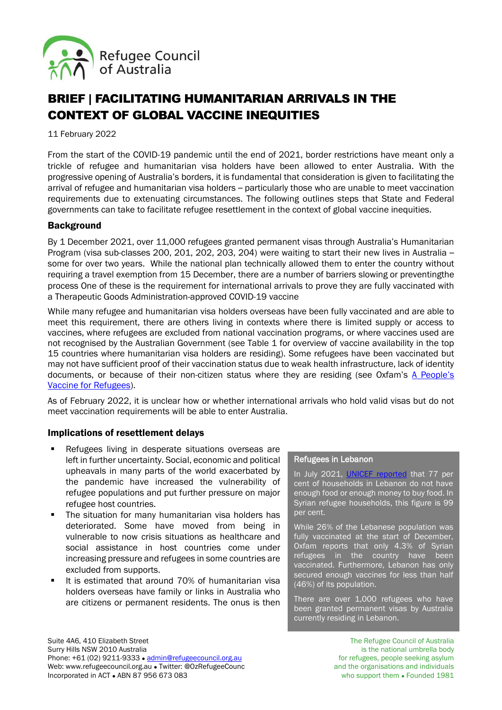

# BRIEF | FACILITATING HUMANITARIAN ARRIVALS IN THE CONTEXT OF GLOBAL VACCINE INEQUITIES

11 February 2022

From the start of the COVID-19 pandemic until the end of 2021, border restrictions have meant only a trickle of refugee and humanitarian visa holders have been allowed to enter Australia. With the progressive opening of Australia's borders, it is fundamental that consideration is given to facilitating the arrival of refugee and humanitarian visa holders – particularly those who are unable to meet vaccination requirements due to extenuating circumstances. The following outlines steps that State and Federal governments can take to facilitate refugee resettlement in the context of global vaccine inequities.

## **Background**

By 1 December 2021, over 11,000 refugees granted permanent visas through Australia's Humanitarian Program (visa sub-classes 200, 201, 202, 203, 204) were waiting to start their new lives in Australia – some for over two years. While the national plan technically allowed them to enter the country without requiring a travel exemption from 15 December, there are a number of barriers slowing or preventingthe process One of these is the requirement for international arrivals to prove they are fully vaccinated with a Therapeutic Goods Administration-approved COVID-19 vaccine

While many refugee and humanitarian visa holders overseas have been fully vaccinated and are able to meet this requirement, there are others living in contexts where there is limited supply or access to vaccines, where refugees are excluded from national vaccination programs, or where vaccines used are not recognised by the Australian Government (see Table 1 for overview of vaccine availability in the top 15 countries where humanitarian visa holders are residing). Some refugees have been vaccinated but may not have sufficient proof of their vaccination status due to weak health infrastructure, lack of identity documents, or because of their non-citizen status where they are residing (see Oxfam's [A People's](https://oxfamilibrary.openrepository.com/bitstream/handle/10546/621312/bp-peoples-vaccine-refugees-301121-en.pdf;jsessionid=FDB36ABDC02A4F902B0491A33A951A2B?sequence=4)  [Vaccine for Refugees\)](https://oxfamilibrary.openrepository.com/bitstream/handle/10546/621312/bp-peoples-vaccine-refugees-301121-en.pdf;jsessionid=FDB36ABDC02A4F902B0491A33A951A2B?sequence=4).

As of February 2022, it is unclear how or whether international arrivals who hold valid visas but do not meet vaccination requirements will be able to enter Australia.

### Implications of resettlement delays

- Refugees living in desperate situations overseas are left in further uncertainty. Social, economic and political upheavals in many parts of the world exacerbated by the pandemic have increased the vulnerability of refugee populations and put further pressure on major refugee host countries.
- **The situation for many humanitarian visa holders has** deteriorated. Some have moved from being in vulnerable to now crisis situations as healthcare and social assistance in host countries come under increasing pressure and refugees in some countries are excluded from supports.
- It is estimated that around 70% of humanitarian visa holders overseas have family or links in Australia who are citizens or permanent residents. The onus is then

#### Refugees in Lebanon

In July 2021, **UNICEF reported** that 77 per cent of households in Lebanon do not have enough food or enough money to buy food. In Syrian refugee households, this figure is 99 per cent.

While 26% of the Lebanese population was fully vaccinated at the start of December, Oxfam reports that only 4.3% of Syrian refugees in the country have been vaccinated. Furthermore, Lebanon has only secured enough vaccines for less than half (46%) of its population.

There are over 1,000 refugees who have been granted permanent visas by Australia currently residing in Lebanon.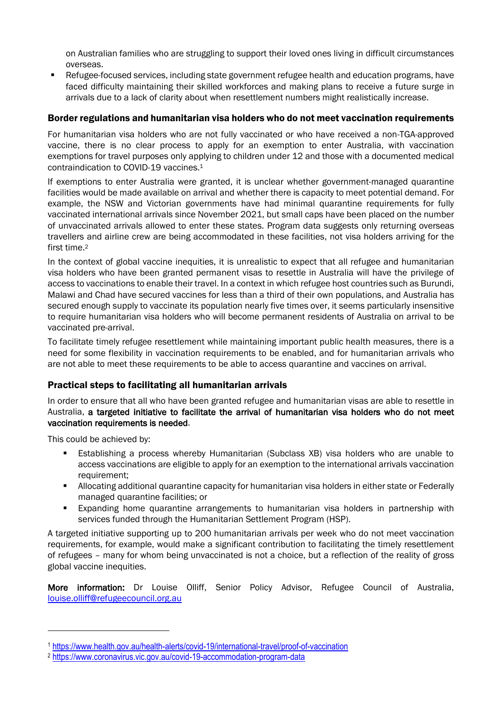on Australian families who are struggling to support their loved ones living in difficult circumstances overseas.

 Refugee-focused services, including state government refugee health and education programs, have faced difficulty maintaining their skilled workforces and making plans to receive a future surge in arrivals due to a lack of clarity about when resettlement numbers might realistically increase.

## Border regulations and humanitarian visa holders who do not meet vaccination requirements

For humanitarian visa holders who are not fully vaccinated or who have received a non-TGA-approved vaccine, there is no clear process to apply for an exemption to enter Australia, with vaccination exemptions for travel purposes only applying to children under 12 and those with a documented medical contraindication to COVID-19 vaccines.<sup>1</sup>

If exemptions to enter Australia were granted, it is unclear whether government-managed quarantine facilities would be made available on arrival and whether there is capacity to meet potential demand. For example, the NSW and Victorian governments have had minimal quarantine requirements for fully vaccinated international arrivals since November 2021, but small caps have been placed on the number of unvaccinated arrivals allowed to enter these states. Program data suggests only returning overseas travellers and airline crew are being accommodated in these facilities, not visa holders arriving for the first time. 2

In the context of global vaccine inequities, it is unrealistic to expect that all refugee and humanitarian visa holders who have been granted permanent visas to resettle in Australia will have the privilege of access to vaccinations to enable their travel. In a context in which refugee host countries such as Burundi, Malawi and Chad have secured vaccines for less than a third of their own populations, and Australia has secured enough supply to vaccinate its population nearly five times over, it seems particularly insensitive to require humanitarian visa holders who will become permanent residents of Australia on arrival to be vaccinated pre-arrival.

To facilitate timely refugee resettlement while maintaining important public health measures, there is a need for some flexibility in vaccination requirements to be enabled, and for humanitarian arrivals who are not able to meet these requirements to be able to access quarantine and vaccines on arrival.

# Practical steps to facilitating all humanitarian arrivals

In order to ensure that all who have been granted refugee and humanitarian visas are able to resettle in Australia, a targeted initiative to facilitate the arrival of humanitarian visa holders who do not meet vaccination requirements is needed.

This could be achieved by:

 $\overline{a}$ 

- Establishing a process whereby Humanitarian (Subclass XB) visa holders who are unable to access vaccinations are eligible to apply for an exemption to the international arrivals vaccination requirement;
- Allocating additional quarantine capacity for humanitarian visa holders in either state or Federally managed quarantine facilities; or
- Expanding home quarantine arrangements to humanitarian visa holders in partnership with services funded through the Humanitarian Settlement Program (HSP).

A targeted initiative supporting up to 200 humanitarian arrivals per week who do not meet vaccination requirements, for example, would make a significant contribution to facilitating the timely resettlement of refugees – many for whom being unvaccinated is not a choice, but a reflection of the reality of gross global vaccine inequities.

More information: Dr Louise Olliff, Senior Policy Advisor, Refugee Council of Australia, [louise.olliff@refugeecouncil.org.au](mailto:louise.olliff@refugeecouncil.org.au)

<sup>1</sup> <https://www.health.gov.au/health-alerts/covid-19/international-travel/proof-of-vaccination>

<sup>2</sup> <https://www.coronavirus.vic.gov.au/covid-19-accommodation-program-data>